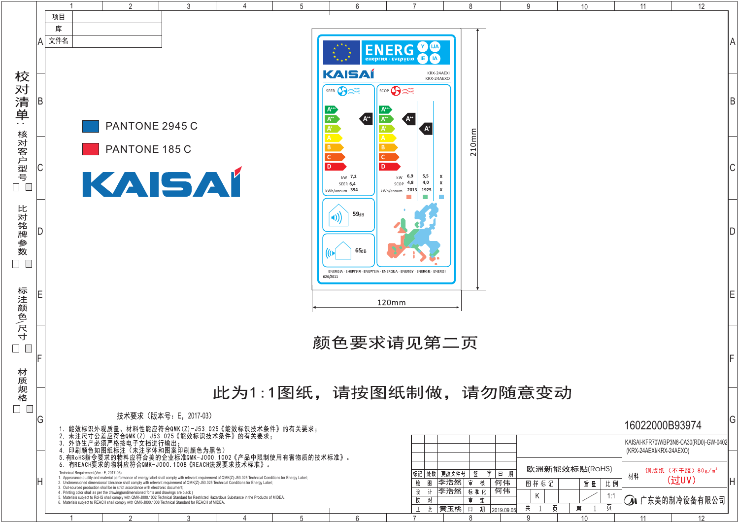|                                                                                                                                                                                                                                                                                                                                                                                                                                                                                                                                                                                                                                                                                                                                                                                                                                                                                                              |                                                                                               |                        |  |  |                                                         |                                                                                       |                                          |   | 10     |                | 12 |           |
|--------------------------------------------------------------------------------------------------------------------------------------------------------------------------------------------------------------------------------------------------------------------------------------------------------------------------------------------------------------------------------------------------------------------------------------------------------------------------------------------------------------------------------------------------------------------------------------------------------------------------------------------------------------------------------------------------------------------------------------------------------------------------------------------------------------------------------------------------------------------------------------------------------------|-----------------------------------------------------------------------------------------------|------------------------|--|--|---------------------------------------------------------|---------------------------------------------------------------------------------------|------------------------------------------|---|--------|----------------|----|-----------|
|                                                                                                                                                                                                                                                                                                                                                                                                                                                                                                                                                                                                                                                                                                                                                                                                                                                                                                              |                                                                                               |                        |  |  |                                                         | <b>ENERG</b>                                                                          |                                          |   |        |                |    | A         |
|                                                                                                                                                                                                                                                                                                                                                                                                                                                                                                                                                                                                                                                                                                                                                                                                                                                                                                              |                                                                                               |                        |  |  | KAISAÍ<br>SEER<br>$\mathsf{A}^{\!+\!+}$                 | <b>eнергия · ενεργεια</b><br>KRX-24AEXI<br>KRX-24AEXO<br>SCOP                         |                                          |   |        |                |    | B         |
|                                                                                                                                                                                                                                                                                                                                                                                                                                                                                                                                                                                                                                                                                                                                                                                                                                                                                                              | PANTONE 2945 C<br>PANTONE 185 C<br>KAISAI                                                     |                        |  |  | D.<br>D<br>$kW$ 7,2<br><b>SEER 6,4</b><br>kWh/annum 394 | $\mathbf{A}^{\!+}$<br>$kW$ 6,9<br>5,5<br>4,8<br>4,0<br>SCOP<br>kWh/annum 2013<br>1925 | 10 <sub>mm</sub><br>$\sim$               |   |        |                |    | C         |
|                                                                                                                                                                                                                                                                                                                                                                                                                                                                                                                                                                                                                                                                                                                                                                                                                                                                                                              |                                                                                               |                        |  |  | $59\text{dB}$<br>65dB                                   |                                                                                       |                                          |   |        |                |    | $\vert D$ |
|                                                                                                                                                                                                                                                                                                                                                                                                                                                                                                                                                                                                                                                                                                                                                                                                                                                                                                              |                                                                                               |                        |  |  | ENERGIA<br>626/2011                                     | · EHEPFIAR · ENEPFEIA · ENERGIJA · ENERGY · ENERGIE · ENERGI<br>120mm                 |                                          |   |        |                |    | lE.       |
| 颜色要求请见第二页<br>此为1:1图纸,请按图纸制做,<br>请勿随意变动                                                                                                                                                                                                                                                                                                                                                                                                                                                                                                                                                                                                                                                                                                                                                                                                                                                                       |                                                                                               |                        |  |  |                                                         |                                                                                       |                                          |   |        |                |    | F         |
|                                                                                                                                                                                                                                                                                                                                                                                                                                                                                                                                                                                                                                                                                                                                                                                                                                                                                                              |                                                                                               | 技术要求 (版本号: E, 2017-03) |  |  |                                                         |                                                                                       |                                          |   |        | 16022000B93974 |    | G         |
| 能效标识外观质量、材料性能应符合QMK (Z) - J53. 025《能效标识技术条件》的有关要求;<br>未注尺寸公差应符合QMK (Z) - J53. 025《能效标识技术条件》的有关要求;<br>外协生产必须严格按电子文档进行输出;<br>印刷颜色如图纸标注(未注字体和图案印刷颜色为黑色)<br>FRoHS指令要求的物料应符合美的企业标准QMK-J000. 1002《产品中限制使用有害物质的技术标准》。<br>KAISAI-KFR70W/BP3N8-CA30(RD0)-GW-0402<br>(KRX-24AEXI/KRX-24AEXO)                                                                                                                                                                                                                                                                                                                                                                                                                                                                                                                                                                                                                           |                                                                                               |                        |  |  |                                                         |                                                                                       |                                          |   |        |                |    |           |
| 有REACH要求的物料应符合QMK-J000.1008《REACH法规要求技术标准》。<br>欧洲新能效标贴(RoHS)<br>铜版纸 (不干胶) $80g/m^2$<br>字丨<br>日 期<br>更改文件号<br>签<br>cal Requirement(Ver.: E, 2017-03)<br>标记 处数<br>材料<br>earance quality and material performance of energy label shall comply with relevant requirement of QMK(Z)-J53.025 Technical Conditions for Energy Label;<br>(过UV)<br>李浩然<br>何伟<br>图<br>mensioned dimensional tolerance shall comply with relevant requirement of QMK(Z)-J53.025 Technical Conditions for Energy Label;<br>核<br>图样标记<br>比例<br>绘<br>宙<br>重量<br>sourced production shall be in strict accordance with electronic document;<br>何伟<br> 李浩然 <br>标准化<br>计<br>ing color shall as per the drawing(undimensioned fonts and drawings are black)<br>K<br>1:1<br>erials subject to RoHS shall comply with QMK-J000.1002 Technical Standard for Restricted Hazardous Substance in the Products of MIDEA.<br>4 广东美的制冷设备有限公司<br>져<br>宙 |                                                                                               |                        |  |  |                                                         |                                                                                       |                                          |   |        |                |    | ΙH        |
|                                                                                                                                                                                                                                                                                                                                                                                                                                                                                                                                                                                                                                                                                                                                                                                                                                                                                                              | rials subject to REACH shall comply with QMK-J000.1008 Technical Standard for REACH of MIDEA. |                        |  |  |                                                         | 艺                                                                                     | 定<br> 黄玉桃 <br>期<br>$\Box$<br> 2019.09.05 | 共 | 页<br>第 |                |    |           |